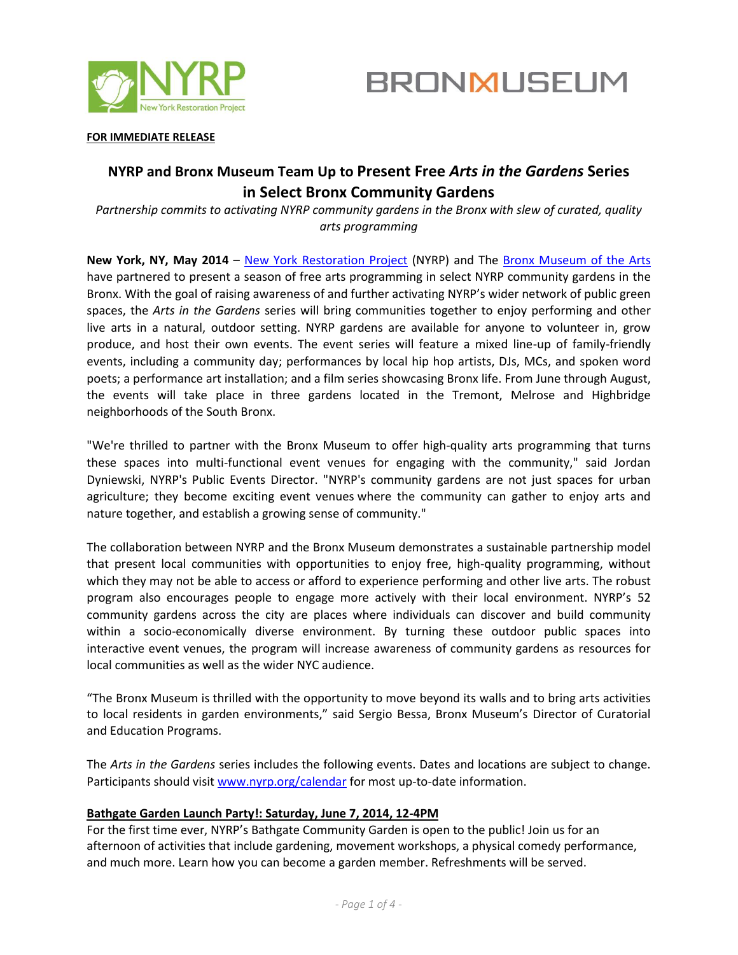



#### **FOR IMMEDIATE RELEASE**

# **NYRP and Bronx Museum Team Up to Present Free** *Arts in the Gardens* **Series in Select Bronx Community Gardens**

*Partnership commits to activating NYRP community gardens in the Bronx with slew of curated, quality arts programming*

**New York, NY, May 2014** – [New York Restoration Project](http://www.nyrp.org/) (NYRP) and The [Bronx Museum of the Arts](http://www.bronxmuseum.org/) have partnered to present a season of free arts programming in select NYRP community gardens in the Bronx. With the goal of raising awareness of and further activating NYRP's wider network of public green spaces, the *Arts in the Gardens* series will bring communities together to enjoy performing and other live arts in a natural, outdoor setting. NYRP gardens are available for anyone to volunteer in, grow produce, and host their own events. The event series will feature a mixed line-up of family-friendly events, including a community day; performances by local hip hop artists, DJs, MCs, and spoken word poets; a performance art installation; and a film series showcasing Bronx life. From June through August, the events will take place in three gardens located in the Tremont, Melrose and Highbridge neighborhoods of the South Bronx.

"We're thrilled to partner with the Bronx Museum to offer high-quality arts programming that turns these spaces into multi-functional event venues for engaging with the community," said Jordan Dyniewski, NYRP's Public Events Director. "NYRP's community gardens are not just spaces for urban agriculture; they become exciting event venues where the community can gather to enjoy arts and nature together, and establish a growing sense of community."

The collaboration between NYRP and the Bronx Museum demonstrates a sustainable partnership model that present local communities with opportunities to enjoy free, high-quality programming, without which they may not be able to access or afford to experience performing and other live arts. The robust program also encourages people to engage more actively with their local environment. NYRP's 52 community gardens across the city are places where individuals can discover and build community within a socio-economically diverse environment. By turning these outdoor public spaces into interactive event venues, the program will increase awareness of community gardens as resources for local communities as well as the wider NYC audience.

"The Bronx Museum is thrilled with the opportunity to move beyond its walls and to bring arts activities to local residents in garden environments," said Sergio Bessa, Bronx Museum's Director of Curatorial and Education Programs.

The *Arts in the Gardens* series includes the following events. Dates and locations are subject to change. Participants should visi[t www.nyrp.org/calendar](http://www.nyrp.org/calendar) for most up-to-date information.

## **Bathgate Garden Launch Party!: Saturday, June 7, 2014, 12-4PM**

For the first time ever, NYRP's Bathgate Community Garden is open to the public! Join us for an afternoon of activities that include gardening, movement workshops, a physical comedy performance, and much more. Learn how you can become a garden member. Refreshments will be served.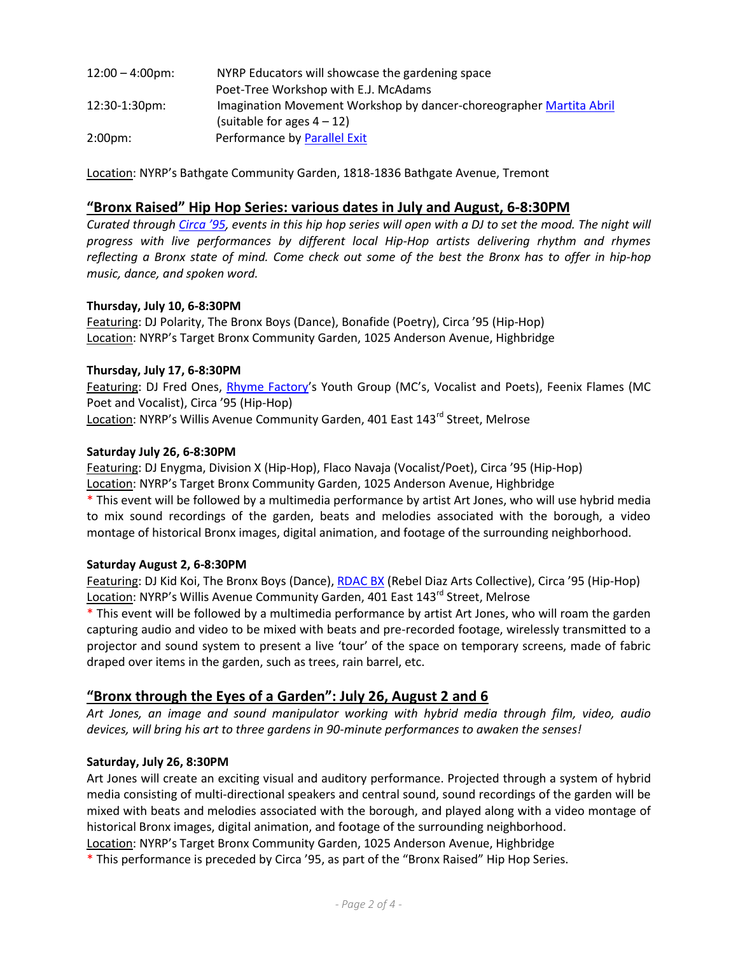| $12:00 - 4:00 \text{pm}$ | NYRP Educators will showcase the gardening space                    |
|--------------------------|---------------------------------------------------------------------|
|                          | Poet-Tree Workshop with E.J. McAdams                                |
| $12:30-1:30 \text{pm}$   | Imagination Movement Workshop by dancer-choreographer Martita Abril |
|                          | (suitable for ages $4 - 12$ )                                       |
| $2:00 \text{pm}:$        | Performance by Parallel Exit                                        |

Location: NYRP's Bathgate Community Garden, 1818-1836 Bathgate Avenue, Tremont

## **"Bronx Raised" Hip Hop Series: various dates in July and August, 6-8:30PM**

*Curated through [Circa '95](http://www.circa95.com/), events in this hip hop series will open with a DJ to set the mood. The night will progress with live performances by different local Hip-Hop artists delivering rhythm and rhymes reflecting a Bronx state of mind. Come check out some of the best the Bronx has to offer in hip-hop music, dance, and spoken word.*

## **Thursday, July 10, 6-8:30PM**

Featuring: DJ Polarity, The Bronx Boys (Dance), Bonafide (Poetry), Circa '95 (Hip-Hop) Location: NYRP's Target Bronx Community Garden, 1025 Anderson Avenue, Highbridge

## **Thursday, July 17, 6-8:30PM**

Featuring: DJ Fred Ones, [Rhyme Factory](http://www.rhymefactory.org/Rhyme_Factory/Welcome.html)'s Youth Group (MC's, Vocalist and Poets), Feenix Flames (MC Poet and Vocalist), Circa '95 (Hip-Hop) Location: NYRP's Willis Avenue Community Garden, 401 East 143<sup>rd</sup> Street, Melrose

## **Saturday July 26, 6-8:30PM**

Featuring: DJ Enygma, Division X (Hip-Hop), Flaco Navaja (Vocalist/Poet), Circa '95 (Hip-Hop) Location: NYRP's Target Bronx Community Garden, 1025 Anderson Avenue, Highbridge \* This event will be followed by a multimedia performance by artist Art Jones, who will use hybrid media to mix sound recordings of the garden, beats and melodies associated with the borough, a video montage of historical Bronx images, digital animation, and footage of the surrounding neighborhood.

## **Saturday August 2, 6-8:30PM**

Featuring: DJ Kid Koi, The Bronx Boys (Dance)[, RDAC BX](http://rdacbx.blogspot.com/) (Rebel Diaz Arts Collective), Circa '95 (Hip-Hop) Location: NYRP's Willis Avenue Community Garden, 401 East 143<sup>rd</sup> Street, Melrose

\* This event will be followed by a multimedia performance by artist Art Jones, who will roam the garden capturing audio and video to be mixed with beats and pre-recorded footage, wirelessly transmitted to a projector and sound system to present a live 'tour' of the space on temporary screens, made of fabric draped over items in the garden, such as trees, rain barrel, etc.

## **"Bronx through the Eyes of a Garden": July 26, August 2 and 6**

*Art Jones, an image and sound manipulator working with hybrid media through film, video, audio devices, will bring his art to three gardens in 90-minute performances to awaken the senses!*

## **Saturday, July 26, 8:30PM**

Art Jones will create an exciting visual and auditory performance. Projected through a system of hybrid media consisting of multi-directional speakers and central sound, sound recordings of the garden will be mixed with beats and melodies associated with the borough, and played along with a video montage of historical Bronx images, digital animation, and footage of the surrounding neighborhood.

Location: NYRP's Target Bronx Community Garden, 1025 Anderson Avenue, Highbridge

\* This performance is preceded by Circa '95, as part of the "Bronx Raised" Hip Hop Series.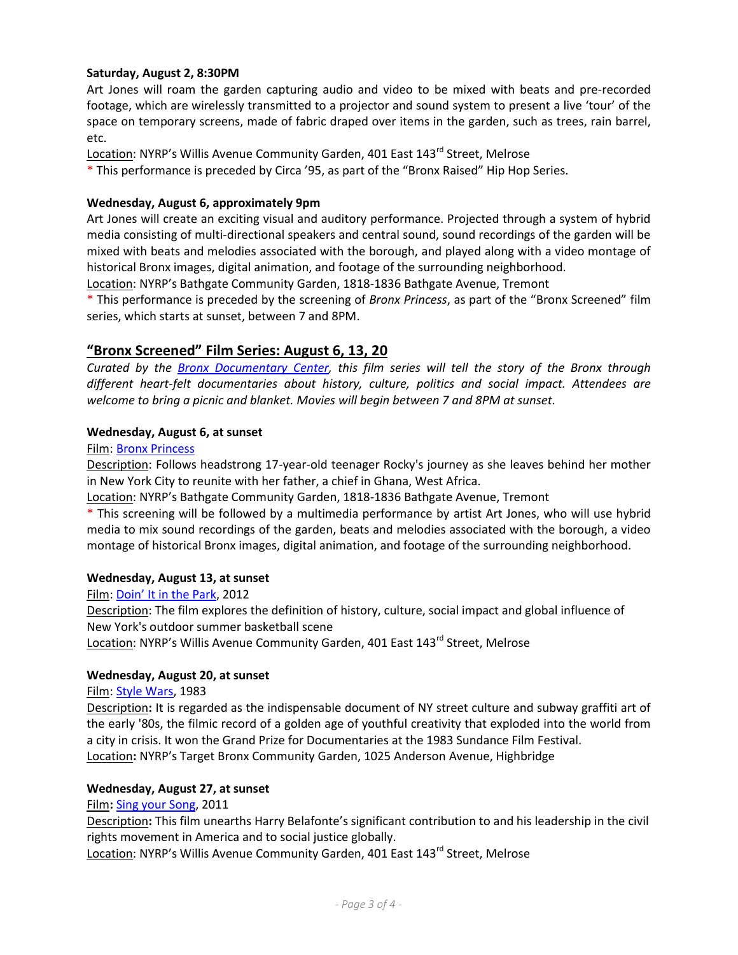## **Saturday, August 2, 8:30PM**

Art Jones will roam the garden capturing audio and video to be mixed with beats and pre-recorded footage, which are wirelessly transmitted to a projector and sound system to present a live 'tour' of the space on temporary screens, made of fabric draped over items in the garden, such as trees, rain barrel, etc.

Location: NYRP's Willis Avenue Community Garden, 401 East 143<sup>rd</sup> Street, Melrose

\* This performance is preceded by Circa '95, as part of the "Bronx Raised" Hip Hop Series.

## **Wednesday, August 6, approximately 9pm**

Art Jones will create an exciting visual and auditory performance. Projected through a system of hybrid media consisting of multi-directional speakers and central sound, sound recordings of the garden will be mixed with beats and melodies associated with the borough, and played along with a video montage of historical Bronx images, digital animation, and footage of the surrounding neighborhood.

Location: NYRP's Bathgate Community Garden, 1818-1836 Bathgate Avenue, Tremont

\* This performance is preceded by the screening of *Bronx Princess*, as part of the "Bronx Screened" film series, which starts at sunset, between 7 and 8PM.

## **"Bronx Screened" Film Series: August 6, 13, 20**

*Curated by the [Bronx Documentary Center,](http://bronxdoc.org/) this film series will tell the story of the Bronx through different heart-felt documentaries about history, culture, politics and social impact. Attendees are welcome to bring a picnic and blanket. Movies will begin between 7 and 8PM at sunset.*

## **Wednesday, August 6, at sunset**

#### Film: [Bronx Princess](http://www.bronxprincess.com/)

Description: Follows headstrong 17-year-old teenager Rocky's journey as she leaves behind her mother in New York City to reunite with her father, a chief in Ghana, West Africa.

Location: NYRP's Bathgate Community Garden, 1818-1836 Bathgate Avenue, Tremont

\* This screening will be followed by a multimedia performance by artist Art Jones, who will use hybrid media to mix sound recordings of the garden, beats and melodies associated with the borough, a video montage of historical Bronx images, digital animation, and footage of the surrounding neighborhood.

## **Wednesday, August 13, at sunset**

Film: Doin' It [in the](http://buy.doinitinthepark.com/) Park, 2012 Description: The film explores the definition of history, culture, social impact and global influence of New York's outdoor summer basketball scene

Location: NYRP's Willis Avenue Community Garden, 401 East 143<sup>rd</sup> Street, Melrose

## **Wednesday, August 20, at sunset**

Film: [Style Wars,](http://stylewars.com/) 1983

Description**:** It is regarded as the indispensable document of NY street culture and subway graffiti art of the early '80s, the filmic record of a golden age of youthful creativity that exploded into the world from a city in crisis. It won the Grand Prize for Documentaries at the 1983 Sundance Film Festival. Location**:** NYRP's Target Bronx Community Garden, 1025 Anderson Avenue, Highbridge

## **Wednesday, August 27, at sunset**

Film**:** [Sing your Song,](http://singyoursongthemovie.com/) 2011

Description**:** This film unearths Harry Belafonte's significant contribution to and his leadership in the civil rights movement in America and to social justice globally.

Location: NYRP's Willis Avenue Community Garden, 401 East 143<sup>rd</sup> Street, Melrose